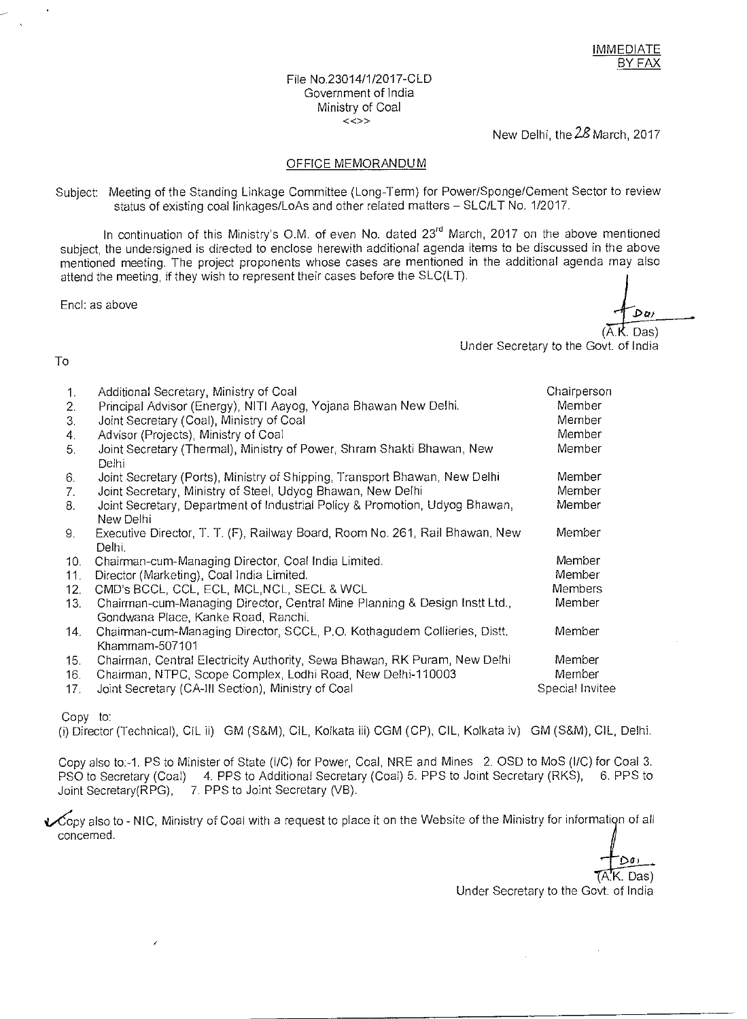#### File No.23014/1/2017-CLD Government of India Ministry of Coal  $\langle \langle \rangle$

New Delhi, the 28 March, 2017

## OFFICE MEMORANDUM

Subject: Meeting of the Standing Linkage Committee (Long-Term) for Power/Sponge/Cement Sector to review status of existing coal linkages/LoAs and other related matters — SLC/LT No. 1/2017.

In continuation of this Ministry's O.M. of even No. dated 23<sup>rd</sup> March, 2017 on the above mentioned subject, the undersigned is directed to enclose herewith additional agenda items to be discussed in the above mentioned meeting. The project proponents whose cases are mentioned in the additional agenda may also attend the meeting, if they wish to represent their cases before the SLC(LT).

End: as above

Dm

 $\langle$  Das) Under Secretary to the Govt. of India

### To

| 1.<br>2.<br>3.<br>4.<br>5. | Additional Secretary, Ministry of Coal<br>Principal Advisor (Energy), NITI Aayog, Yojana Bhawan New Delhi.<br>Joint Secretary (Coal), Ministry of Coal<br>Advisor (Projects), Ministry of Coal<br>Joint Secretary (Thermal), Ministry of Power, Shram Shakti Bhawan, New<br>Delhi | Chairperson<br>Member<br>Member<br>Member<br>Member |
|----------------------------|-----------------------------------------------------------------------------------------------------------------------------------------------------------------------------------------------------------------------------------------------------------------------------------|-----------------------------------------------------|
| 6.                         | Joint Secretary (Ports), Ministry of Shipping, Transport Bhawan, New Delhi                                                                                                                                                                                                        | Member                                              |
| 7.                         | Joint Secretary, Ministry of Steel, Udyog Bhawan, New Delhi                                                                                                                                                                                                                       | Member                                              |
| 8.                         | Joint Secretary, Department of Industrial Policy & Promotion, Udyog Bhawan,<br>New Delhi                                                                                                                                                                                          | Member                                              |
| 9.                         | Executive Director, T. T. (F), Railway Board, Room No. 261, Rail Bhawan, New<br>Delhi.                                                                                                                                                                                            | Member                                              |
| 10.                        | Chairman-cum-Managing Director, Coal India Limited.                                                                                                                                                                                                                               | Member                                              |
| 11.                        | Director (Marketing), Coal India Limited.                                                                                                                                                                                                                                         | Member                                              |
| 12.                        | CMD's BCCL, CCL, ECL, MCL, NCL, SECL & WCL                                                                                                                                                                                                                                        | Members                                             |
| 13.                        | Chairman-cum-Managing Director, Central Mine Planning & Design Instt Ltd.,<br>Gondwana Place, Kanke Road, Ranchi.                                                                                                                                                                 | Member                                              |
| 14.                        | Chairman-cum-Managing Director, SCCL, P.O. Kothagudem Collieries, Distt.<br>Khammam-507101                                                                                                                                                                                        | Member                                              |
| 15.                        | Chairman, Central Electricity Authority, Sewa Bhawan, RK Puram, New Delhi                                                                                                                                                                                                         | Member                                              |
| 16.<br>17.                 | Chairman, NTPC, Scope Complex, Lodhi Road, New Delhi-110003<br>Joint Secretary (CA-III Section), Ministry of Coal                                                                                                                                                                 | Member<br>Special Invitee                           |

Copy to:

(i) Director (Technical), CIL ii) GM (S&M), CIL, Kolkata iii) CGM (CP), CIL, Kolkata iv) GM (S&M), CIL, Delhi.

Copy also to:-1. PS to Minister of State (I/C) for Power, Coal, NRE and Mines 2. OSD to MoS (I/C) for Coal 3. PSO to Secretary (Coal) 4. PPS to Additional Secretary (Coal) 5. PPS to Joint Secretary (RKS), 6. PPS to Joint Secretary(RPG), 7. PPS to Joint Secretary (VB).

 $\epsilon$ opy also to - NIC, Ministry of Coal with a request to place it on the Website of the Ministry for information of all concerned.

 $001$ K. Das)

Under Secretary to the Govt. of India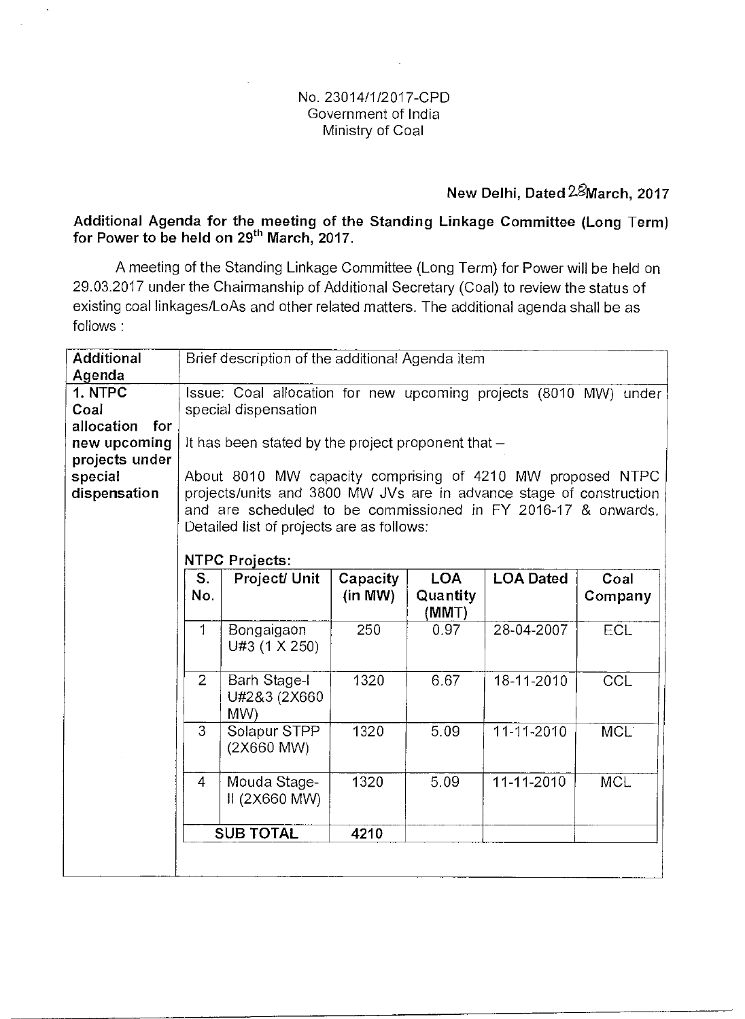## No. 23014/1/2017-CPD Government of India Ministry of Coal

# New Delhi, Dated 28March, 2017

## Additional Agenda for the meeting of the Standing Linkage Committee (Long Term) for Power to be held on 29<sup>th</sup> March, 2017.

A meeting of the Standing Linkage Committee (Long Term) for Power will be held on 29.03.2017 under the Chairmanship of Additional Secretary (Coal) to review the status of existing coal linkages/LoAs and other related matters. The additional agenda shall be as follows :

| <b>Additional</b> | Brief description of the additional Agenda item                     |                             |          |            |                  |                  |  |
|-------------------|---------------------------------------------------------------------|-----------------------------|----------|------------|------------------|------------------|--|
| Agenda            |                                                                     |                             |          |            |                  |                  |  |
| 1. NTPC           | Issue: Coal allocation for new upcoming projects (8010 MW) under    |                             |          |            |                  |                  |  |
| Coal              | special dispensation                                                |                             |          |            |                  |                  |  |
| allocation<br>for |                                                                     |                             |          |            |                  |                  |  |
| new upcoming      | It has been stated by the project proponent that $-$                |                             |          |            |                  |                  |  |
| projects under    |                                                                     |                             |          |            |                  |                  |  |
| special           | About 8010 MW capacity comprising of 4210 MW proposed NTPC          |                             |          |            |                  |                  |  |
| dispensation      | projects/units and 3800 MW JVs are in advance stage of construction |                             |          |            |                  |                  |  |
|                   | and are scheduled to be commissioned in FY 2016-17 & onwards,       |                             |          |            |                  |                  |  |
|                   | Detailed list of projects are as follows:                           |                             |          |            |                  |                  |  |
|                   |                                                                     |                             |          |            |                  |                  |  |
|                   |                                                                     | <b>NTPC Projects:</b>       |          |            |                  |                  |  |
|                   | S.                                                                  | Project/ Unit               | Capacity | <b>LOA</b> | <b>LOA Dated</b> | Coal             |  |
|                   | No.                                                                 |                             | (in MW)  | Quantity   |                  | Company          |  |
|                   |                                                                     |                             |          | (MMT)      |                  |                  |  |
|                   | 1                                                                   | Bongaigaon<br>U#3 (1 X 250) | 250      | 0.97       | 28-04-2007       | ECL              |  |
|                   |                                                                     |                             |          |            |                  |                  |  |
|                   | $\overline{2}$                                                      | <b>Barh Stage-I</b>         | 1320     | 6.67       | 18-11-2010       | CCL              |  |
|                   |                                                                     | U#2&3 (2X660                |          |            |                  |                  |  |
|                   |                                                                     | M(W)                        |          |            |                  |                  |  |
|                   | 3                                                                   | Solapur STPP                | 1320     | 5.09       | 11-11-2010       | MCL <sup>®</sup> |  |
|                   |                                                                     | (2X660 MW)                  |          |            |                  |                  |  |
|                   |                                                                     |                             |          |            |                  |                  |  |
|                   | $\overline{4}$                                                      | Mouda Stage-                | 1320     | 5.09       | 11-11-2010       | <b>MCL</b>       |  |
|                   |                                                                     | II (2X660 MW)               |          |            |                  |                  |  |
|                   |                                                                     |                             |          |            |                  |                  |  |
|                   | <b>SUB TOTAL</b><br>4210                                            |                             |          |            |                  |                  |  |
|                   |                                                                     |                             |          |            |                  |                  |  |
|                   |                                                                     |                             |          |            |                  |                  |  |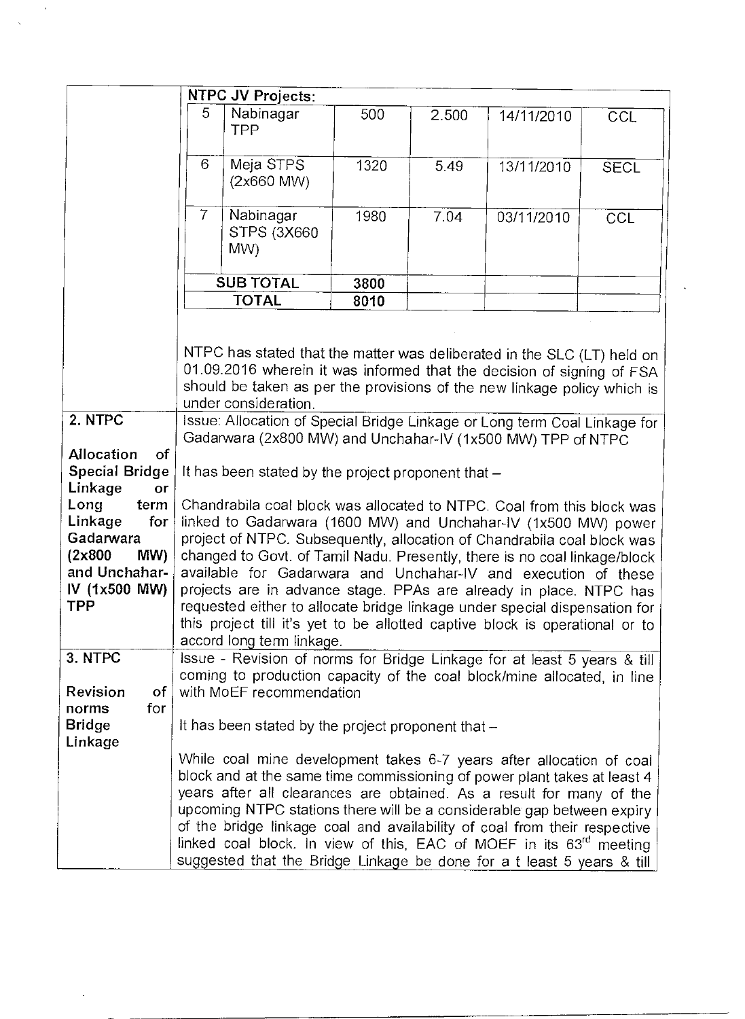|                                                                                                        | <b>NTPC JV Projects:</b>                                                                                                                                                                                                                                                                                                                                                                                                                                                                                                                                                                                                            |                                                                                                                                                                                                                                                                                                                                                                                                                                                                                                                                              |      |       |            |             |
|--------------------------------------------------------------------------------------------------------|-------------------------------------------------------------------------------------------------------------------------------------------------------------------------------------------------------------------------------------------------------------------------------------------------------------------------------------------------------------------------------------------------------------------------------------------------------------------------------------------------------------------------------------------------------------------------------------------------------------------------------------|----------------------------------------------------------------------------------------------------------------------------------------------------------------------------------------------------------------------------------------------------------------------------------------------------------------------------------------------------------------------------------------------------------------------------------------------------------------------------------------------------------------------------------------------|------|-------|------------|-------------|
|                                                                                                        | 5                                                                                                                                                                                                                                                                                                                                                                                                                                                                                                                                                                                                                                   | Nabinagar<br><b>TPP</b>                                                                                                                                                                                                                                                                                                                                                                                                                                                                                                                      | 500  | 2.500 | 14/11/2010 | CCL         |
|                                                                                                        | 6                                                                                                                                                                                                                                                                                                                                                                                                                                                                                                                                                                                                                                   | Meja STPS<br>(2x660 MW)                                                                                                                                                                                                                                                                                                                                                                                                                                                                                                                      | 1320 | 5.49  | 13/11/2010 | <b>SECL</b> |
|                                                                                                        | $\overline{7}$                                                                                                                                                                                                                                                                                                                                                                                                                                                                                                                                                                                                                      | Nabinagar<br><b>STPS (3X660)</b><br>MW)                                                                                                                                                                                                                                                                                                                                                                                                                                                                                                      | 1980 | 7.04  | 03/11/2010 | CCL         |
|                                                                                                        |                                                                                                                                                                                                                                                                                                                                                                                                                                                                                                                                                                                                                                     | <b>SUB TOTAL</b>                                                                                                                                                                                                                                                                                                                                                                                                                                                                                                                             | 3800 |       |            |             |
|                                                                                                        | <b>TOTAL</b>                                                                                                                                                                                                                                                                                                                                                                                                                                                                                                                                                                                                                        |                                                                                                                                                                                                                                                                                                                                                                                                                                                                                                                                              | 8010 |       |            |             |
|                                                                                                        | NTPC has stated that the matter was deliberated in the SLC (LT) held on<br>01.09.2016 wherein it was informed that the decision of signing of FSA<br>should be taken as per the provisions of the new linkage policy which is<br>under consideration.                                                                                                                                                                                                                                                                                                                                                                               |                                                                                                                                                                                                                                                                                                                                                                                                                                                                                                                                              |      |       |            |             |
| 2. NTPC                                                                                                |                                                                                                                                                                                                                                                                                                                                                                                                                                                                                                                                                                                                                                     | Issue: Allocation of Special Bridge Linkage or Long term Coal Linkage for                                                                                                                                                                                                                                                                                                                                                                                                                                                                    |      |       |            |             |
|                                                                                                        |                                                                                                                                                                                                                                                                                                                                                                                                                                                                                                                                                                                                                                     | Gadarwara (2x800 MW) and Unchahar-IV (1x500 MW) TPP of NTPC                                                                                                                                                                                                                                                                                                                                                                                                                                                                                  |      |       |            |             |
| Allocation<br>of<br>Special Bridge<br>Linkage<br>or                                                    | It has been stated by the project proponent that -                                                                                                                                                                                                                                                                                                                                                                                                                                                                                                                                                                                  |                                                                                                                                                                                                                                                                                                                                                                                                                                                                                                                                              |      |       |            |             |
| Long<br>term<br>Linkage<br>for<br>Gadarwara<br>(2x800)<br>MW)<br>and Unchahar-<br>IV (1x500 MW)<br>TPP | Chandrabila coal block was allocated to NTPC. Coal from this block was<br>linked to Gadarwara (1600 MW) and Unchahar-IV (1x500 MW) power<br>project of NTPC. Subsequently, allocation of Chandrabila coal block was<br>changed to Govt. of Tamil Nadu. Presently, there is no coal linkage/block<br>available for Gadarwara and Unchahar-IV and execution of these<br>projects are in advance stage. PPAs are already in place. NTPC has<br>requested either to allocate bridge linkage under special dispensation for<br>this project till it's yet to be allotted captive block is operational or to<br>accord long term linkage. |                                                                                                                                                                                                                                                                                                                                                                                                                                                                                                                                              |      |       |            |             |
| 3. NTPC<br>Revision<br><b>of</b><br>for                                                                | Issue - Revision of norms for Bridge Linkage for at least 5 years & till<br>coming to production capacity of the coal block/mine allocated, in line<br>with MoEF recommendation<br>It has been stated by the project proponent that $-$                                                                                                                                                                                                                                                                                                                                                                                             |                                                                                                                                                                                                                                                                                                                                                                                                                                                                                                                                              |      |       |            |             |
| norms<br><b>Bridge</b><br>Linkage                                                                      |                                                                                                                                                                                                                                                                                                                                                                                                                                                                                                                                                                                                                                     |                                                                                                                                                                                                                                                                                                                                                                                                                                                                                                                                              |      |       |            |             |
|                                                                                                        |                                                                                                                                                                                                                                                                                                                                                                                                                                                                                                                                                                                                                                     | While coal mine development takes 6-7 years after allocation of coal<br>block and at the same time commissioning of power plant takes at least 4<br>years after all clearances are obtained. As a result for many of the<br>upcoming NTPC stations there will be a considerable gap between expiry<br>of the bridge linkage coal and availability of coal from their respective<br>linked coal block. In view of this, EAC of MOEF in its 63 <sup>rd</sup> meeting<br>suggested that the Bridge Linkage be done for a t least 5 years & till |      |       |            |             |

 $\sim$  $\frac{1}{2}$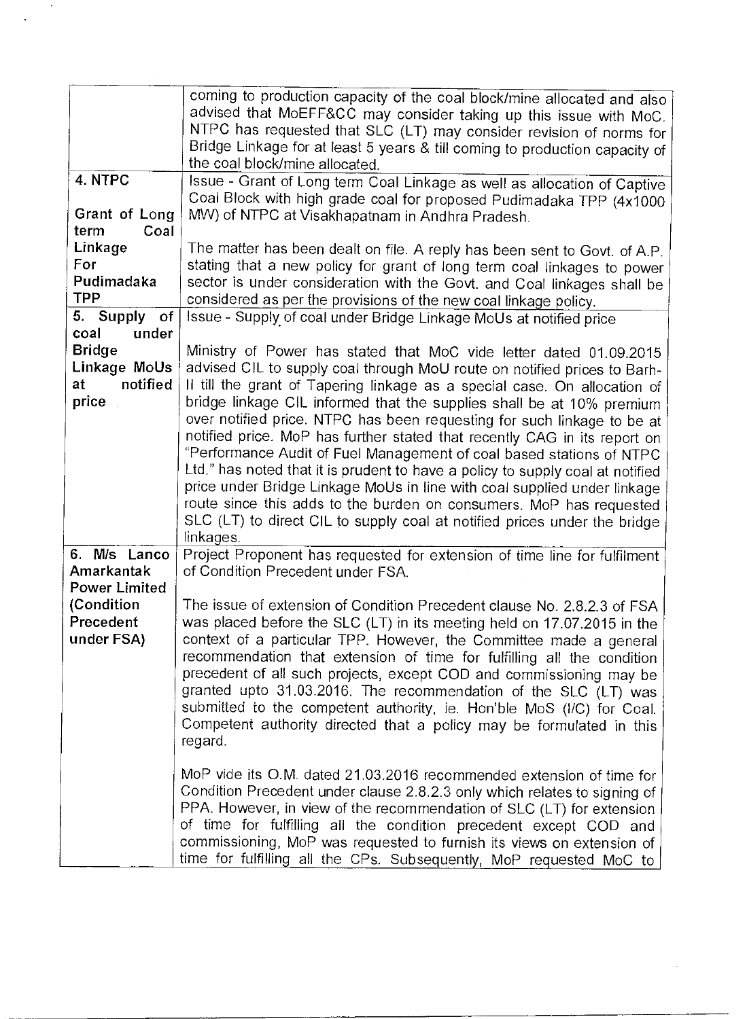|                         | coming to production capacity of the coal block/mine allocated and also<br>advised that MoEFF&CC may consider taking up this issue with MoC.<br>NTPC has requested that SLC (LT) may consider revision of norms for |
|-------------------------|---------------------------------------------------------------------------------------------------------------------------------------------------------------------------------------------------------------------|
|                         | Bridge Linkage for at least 5 years & till coming to production capacity of<br>the coal block/mine allocated.                                                                                                       |
| 4. NTPC                 | Issue - Grant of Long term Coal Linkage as well as allocation of Captive                                                                                                                                            |
|                         | Coal Block with high grade coal for proposed Pudimadaka TPP (4x1000                                                                                                                                                 |
| Grant of Long           | MW) of NTPC at Visakhapatnam in Andhra Pradesh.                                                                                                                                                                     |
| term<br>Coal<br>Linkage |                                                                                                                                                                                                                     |
| For                     | The matter has been dealt on file. A reply has been sent to Govt. of A.P.<br>stating that a new policy for grant of long term coal linkages to power                                                                |
| Pudimadaka              | sector is under consideration with the Govt. and Coal linkages shall be                                                                                                                                             |
| <b>TPP</b>              | considered as per the provisions of the new coal linkage policy.                                                                                                                                                    |
| 5. Supply<br>of         | Issue - Supply of coal under Bridge Linkage MoUs at notified price                                                                                                                                                  |
| coal<br>under           |                                                                                                                                                                                                                     |
| <b>Bridge</b>           | Ministry of Power has stated that MoC vide letter dated 01.09.2015                                                                                                                                                  |
| Linkage MoUs            | advised CIL to supply coal through MoU route on notified prices to Barh-                                                                                                                                            |
| notified<br>at          | Il till the grant of Tapering linkage as a special case. On allocation of                                                                                                                                           |
| price                   | bridge linkage CIL informed that the supplies shall be at 10% premium                                                                                                                                               |
|                         | over notified price. NTPC has been requesting for such linkage to be at                                                                                                                                             |
|                         | notified price. MoP has further stated that recently CAG in its report on                                                                                                                                           |
|                         | "Performance Audit of Fuel Management of coal based stations of NTPC                                                                                                                                                |
|                         | Ltd." has noted that it is prudent to have a policy to supply coal at notified                                                                                                                                      |
|                         | price under Bridge Linkage MoUs in line with coal supplied under linkage<br>route since this adds to the burden on consumers. MoP has requested                                                                     |
|                         | SLC (LT) to direct CIL to supply coal at notified prices under the bridge                                                                                                                                           |
|                         | linkages.                                                                                                                                                                                                           |
| 6. M/s Lanco            | Project Proponent has requested for extension of time line for fulfilment                                                                                                                                           |
| Amarkantak              | of Condition Precedent under FSA.                                                                                                                                                                                   |
| <b>Power Limited</b>    |                                                                                                                                                                                                                     |
| (Condition              | The issue of extension of Condition Precedent clause No. 2.8.2.3 of FSA                                                                                                                                             |
| Precedent               | was placed before the SLC (LT) in its meeting held on 17.07.2015 in the                                                                                                                                             |
| under FSA)              | context of a particular TPP. However, the Committee made a general                                                                                                                                                  |
|                         | recommendation that extension of time for fulfilling all the condition                                                                                                                                              |
|                         | precedent of all such projects, except COD and commissioning may be                                                                                                                                                 |
|                         | granted upto 31.03.2016. The recommendation of the SLC (LT) was<br>submitted to the competent authority, ie. Hon'ble MoS (I/C) for Coal.                                                                            |
|                         | Competent authority directed that a policy may be formulated in this                                                                                                                                                |
|                         | regard.                                                                                                                                                                                                             |
|                         |                                                                                                                                                                                                                     |
|                         | MoP vide its O.M. dated 21.03.2016 recommended extension of time for                                                                                                                                                |
|                         | Condition Precedent under clause 2.8.2.3 only which relates to signing of                                                                                                                                           |
|                         | PPA. However, in view of the recommendation of SLC (LT) for extension                                                                                                                                               |
|                         | of time for fulfilling all the condition precedent except COD and                                                                                                                                                   |
|                         | commissioning, MoP was requested to furnish its views on extension of                                                                                                                                               |
|                         | time for fulfilling all the CPs. Subsequently, MoP requested MoC to                                                                                                                                                 |

 $\sim 10^6$  $\ddot{\phantom{a}}$